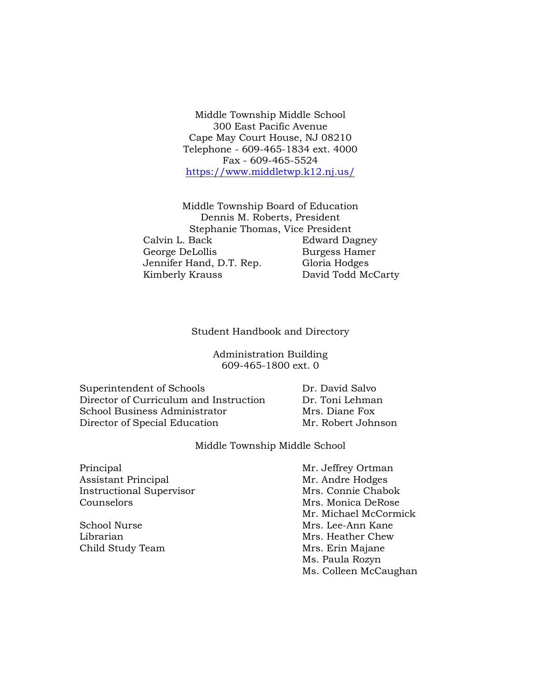Middle Township Middle School 300 East Pacific Avenue Cape May Court House, NJ 08210 Telephone - 609-465-1834 ext. 4000 Fax - 609-465-5524 <https://www.middletwp.k12.nj.us/>

Middle Township Board of Education Dennis M. Roberts, President Stephanie Thomas, Vice President Calvin L. Back Edward Dagney George DeLollis Burgess Hamer Jennifer Hand, D.T. Rep. Gloria Hodges Kimberly Krauss David Todd McCarty

Student Handbook and Directory

Administration Building 609-465-1800 ext. 0

Superintendent of Schools Dr. David Salvo Director of Curriculum and Instruction Dr. Toni Lehman School Business Administrator Mrs. Diane Fox Director of Special Education Mr. Robert Johnson

Middle Township Middle School

Principal Mr. Jeffrey Ortman Assistant Principal Mr. Andre Hodges Instructional Supervisor Mrs. Connie Chabok Counselors Mrs. Monica DeRose

Mr. Michael McCormick School Nurse Mrs. Lee-Ann Kane Librarian Mrs. Heather Chew Child Study Team Mrs. Erin Majane Ms. Paula Rozyn Ms. Colleen McCaughan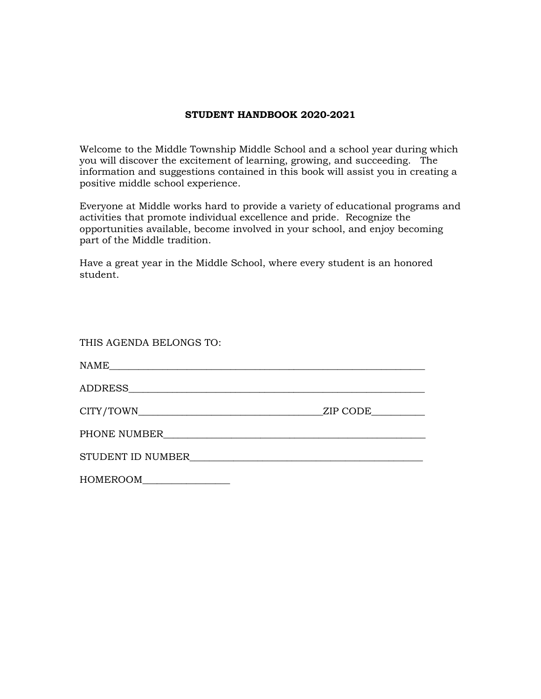## **STUDENT HANDBOOK 2020-2021**

Welcome to the Middle Township Middle School and a school year during which you will discover the excitement of learning, growing, and succeeding. The information and suggestions contained in this book will assist you in creating a positive middle school experience.

Everyone at Middle works hard to provide a variety of educational programs and activities that promote individual excellence and pride. Recognize the opportunities available, become involved in your school, and enjoy becoming part of the Middle tradition.

Have a great year in the Middle School, where every student is an honored student.

| THIS AGENDA BELONGS TO: |                                                                    |
|-------------------------|--------------------------------------------------------------------|
|                         |                                                                    |
|                         |                                                                    |
|                         | ZIP CODE                                                           |
|                         |                                                                    |
| STUDENT ID NUMBER       | <u> 1980 - Jan Samuel Barbara, margaret eta idazlea (h. 1980).</u> |
|                         |                                                                    |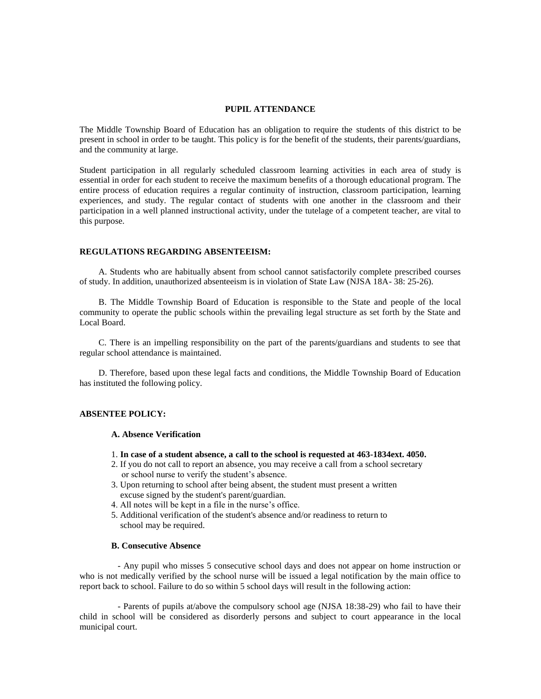#### **PUPIL ATTENDANCE**

The Middle Township Board of Education has an obligation to require the students of this district to be present in school in order to be taught. This policy is for the benefit of the students, their parents/guardians, and the community at large.

Student participation in all regularly scheduled classroom learning activities in each area of study is essential in order for each student to receive the maximum benefits of a thorough educational program. The entire process of education requires a regular continuity of instruction, classroom participation, learning experiences, and study. The regular contact of students with one another in the classroom and their participation in a well planned instructional activity, under the tutelage of a competent teacher, are vital to this purpose.

#### **REGULATIONS REGARDING ABSENTEEISM:**

A. Students who are habitually absent from school cannot satisfactorily complete prescribed courses of study. In addition, unauthorized absenteeism is in violation of State Law (NJSA 18A- 38: 25-26).

B. The Middle Township Board of Education is responsible to the State and people of the local community to operate the public schools within the prevailing legal structure as set forth by the State and Local Board.

C. There is an impelling responsibility on the part of the parents/guardians and students to see that regular school attendance is maintained.

D. Therefore, based upon these legal facts and conditions, the Middle Township Board of Education has instituted the following policy.

### **ABSENTEE POLICY:**

### **A. Absence Verification**

- 1. **In case of a student absence, a call to the school is requested at 463-1834ext. 4050.**
- 2. If you do not call to report an absence, you may receive a call from a school secretary or school nurse to verify the student's absence.
- 3. Upon returning to school after being absent, the student must present a written excuse signed by the student's parent/guardian.
- 4. All notes will be kept in a file in the nurse's office.
- 5. Additional verification of the student's absence and/or readiness to return to school may be required.

### **B. Consecutive Absence**

- Any pupil who misses 5 consecutive school days and does not appear on home instruction or who is not medically verified by the school nurse will be issued a legal notification by the main office to report back to school. Failure to do so within 5 school days will result in the following action:

- Parents of pupils at/above the compulsory school age (NJSA 18:38-29) who fail to have their child in school will be considered as disorderly persons and subject to court appearance in the local municipal court.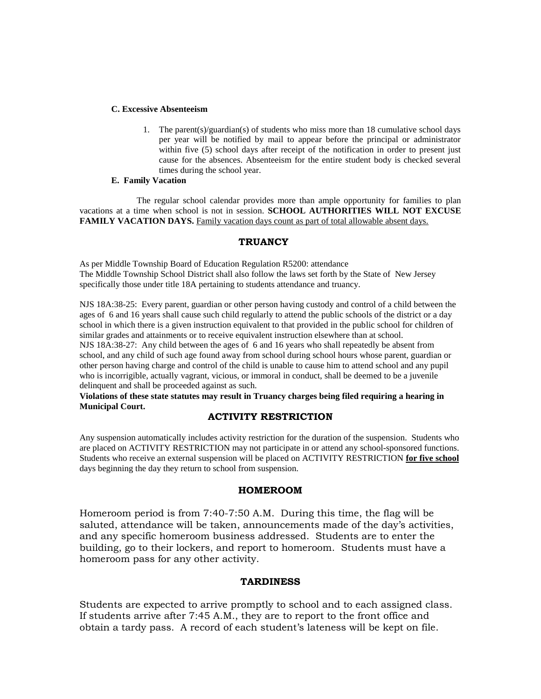### **C. Excessive Absenteeism**

1. The parent(s)/guardian(s) of students who miss more than 18 cumulative school days per year will be notified by mail to appear before the principal or administrator within five (5) school days after receipt of the notification in order to present just cause for the absences. Absenteeism for the entire student body is checked several times during the school year.

### **E. Family Vacation**

The regular school calendar provides more than ample opportunity for families to plan vacations at a time when school is not in session. **SCHOOL AUTHORITIES WILL NOT EXCUSE FAMILY VACATION DAYS.** Family vacation days count as part of total allowable absent days.

### **TRUANCY**

As per Middle Township Board of Education Regulation R5200: attendance The Middle Township School District shall also follow the laws set forth by the State of New Jersey specifically those under title 18A pertaining to students attendance and truancy.

NJS 18A:38-25: Every parent, guardian or other person having custody and control of a child between the ages of 6 and 16 years shall cause such child regularly to attend the public schools of the district or a day school in which there is a given instruction equivalent to that provided in the public school for children of similar grades and attainments or to receive equivalent instruction elsewhere than at school. NJS 18A:38-27: Any child between the ages of 6 and 16 years who shall repeatedly be absent from school, and any child of such age found away from school during school hours whose parent, guardian or other person having charge and control of the child is unable to cause him to attend school and any pupil who is incorrigible, actually vagrant, vicious, or immoral in conduct, shall be deemed to be a juvenile delinquent and shall be proceeded against as such.

**Violations of these state statutes may result in Truancy charges being filed requiring a hearing in Municipal Court.**

## **ACTIVITY RESTRICTION**

Any suspension automatically includes activity restriction for the duration of the suspension. Students who are placed on ACTIVITY RESTRICTION may not participate in or attend any school-sponsored functions. Students who receive an external suspension will be placed on ACTIVITY RESTRICTION **for five school** days beginning the day they return to school from suspension.

### **HOMEROOM**

Homeroom period is from 7:40-7:50 A.M. During this time, the flag will be saluted, attendance will be taken, announcements made of the day's activities, and any specific homeroom business addressed. Students are to enter the building, go to their lockers, and report to homeroom. Students must have a homeroom pass for any other activity.

## **TARDINESS**

Students are expected to arrive promptly to school and to each assigned class. If students arrive after 7:45 A.M., they are to report to the front office and obtain a tardy pass. A record of each student's lateness will be kept on file.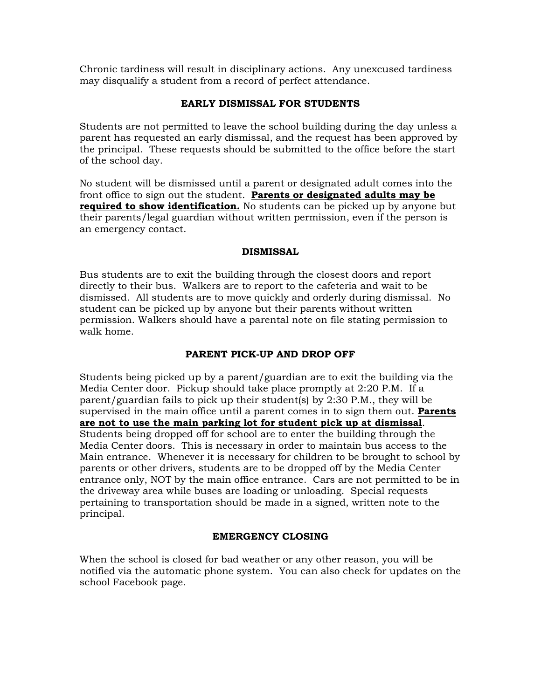Chronic tardiness will result in disciplinary actions. Any unexcused tardiness may disqualify a student from a record of perfect attendance.

## **EARLY DISMISSAL FOR STUDENTS**

Students are not permitted to leave the school building during the day unless a parent has requested an early dismissal, and the request has been approved by the principal. These requests should be submitted to the office before the start of the school day.

No student will be dismissed until a parent or designated adult comes into the front office to sign out the student. **Parents or designated adults may be required to show identification.** No students can be picked up by anyone but their parents/legal guardian without written permission, even if the person is an emergency contact.

## **DISMISSAL**

Bus students are to exit the building through the closest doors and report directly to their bus. Walkers are to report to the cafeteria and wait to be dismissed. All students are to move quickly and orderly during dismissal. No student can be picked up by anyone but their parents without written permission. Walkers should have a parental note on file stating permission to walk home.

# **PARENT PICK-UP AND DROP OFF**

Students being picked up by a parent/guardian are to exit the building via the Media Center door. Pickup should take place promptly at 2:20 P.M. If a parent/guardian fails to pick up their student(s) by 2:30 P.M., they will be supervised in the main office until a parent comes in to sign them out. **Parents are not to use the main parking lot for student pick up at dismissal**. Students being dropped off for school are to enter the building through the Media Center doors. This is necessary in order to maintain bus access to the Main entrance. Whenever it is necessary for children to be brought to school by parents or other drivers, students are to be dropped off by the Media Center entrance only, NOT by the main office entrance. Cars are not permitted to be in the driveway area while buses are loading or unloading. Special requests pertaining to transportation should be made in a signed, written note to the principal.

# **EMERGENCY CLOSING**

When the school is closed for bad weather or any other reason, you will be notified via the automatic phone system. You can also check for updates on the school Facebook page.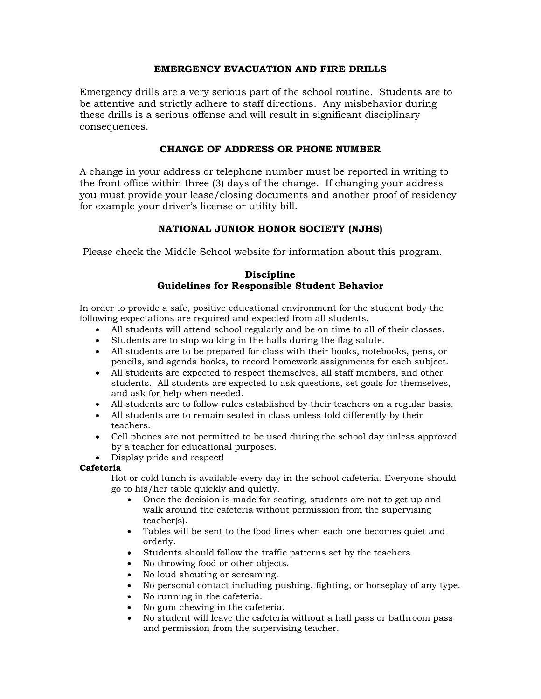## **EMERGENCY EVACUATION AND FIRE DRILLS**

Emergency drills are a very serious part of the school routine. Students are to be attentive and strictly adhere to staff directions. Any misbehavior during these drills is a serious offense and will result in significant disciplinary consequences.

## **CHANGE OF ADDRESS OR PHONE NUMBER**

A change in your address or telephone number must be reported in writing to the front office within three (3) days of the change. If changing your address you must provide your lease/closing documents and another proof of residency for example your driver's license or utility bill.

# **NATIONAL JUNIOR HONOR SOCIETY (NJHS)**

Please check the Middle School website for information about this program.

## **Discipline Guidelines for Responsible Student Behavior**

In order to provide a safe, positive educational environment for the student body the following expectations are required and expected from all students.

- All students will attend school regularly and be on time to all of their classes.
- Students are to stop walking in the halls during the flag salute.
- All students are to be prepared for class with their books, notebooks, pens, or pencils, and agenda books, to record homework assignments for each subject.
- All students are expected to respect themselves, all staff members, and other students. All students are expected to ask questions, set goals for themselves, and ask for help when needed.
- All students are to follow rules established by their teachers on a regular basis.
- All students are to remain seated in class unless told differently by their teachers.
- Cell phones are not permitted to be used during the school day unless approved by a teacher for educational purposes.
- Display pride and respect!

## **Cafeteria**

Hot or cold lunch is available every day in the school cafeteria. Everyone should go to his/her table quickly and quietly.

- Once the decision is made for seating, students are not to get up and walk around the cafeteria without permission from the supervising teacher(s).
- Tables will be sent to the food lines when each one becomes quiet and orderly.
- Students should follow the traffic patterns set by the teachers.
- No throwing food or other objects.
- No loud shouting or screaming.
- No personal contact including pushing, fighting, or horseplay of any type.
- No running in the cafeteria.
- No gum chewing in the cafeteria.
- No student will leave the cafeteria without a hall pass or bathroom pass and permission from the supervising teacher.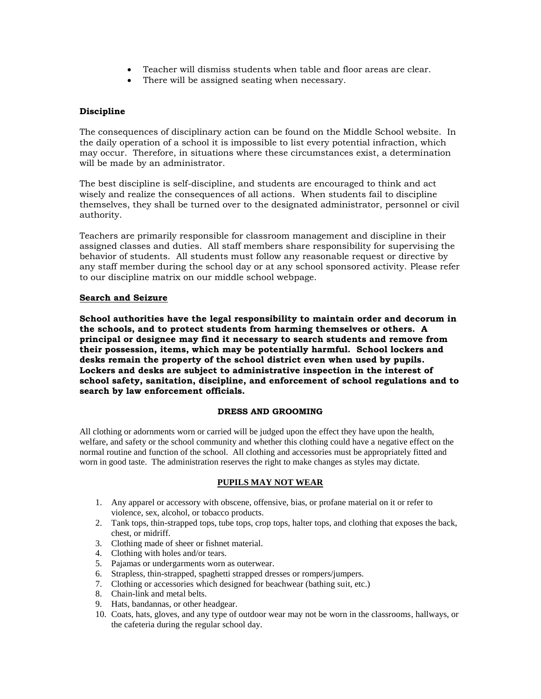- Teacher will dismiss students when table and floor areas are clear.
- There will be assigned seating when necessary.

### **Discipline**

The consequences of disciplinary action can be found on the Middle School website. In the daily operation of a school it is impossible to list every potential infraction, which may occur. Therefore, in situations where these circumstances exist, a determination will be made by an administrator.

The best discipline is self-discipline, and students are encouraged to think and act wisely and realize the consequences of all actions. When students fail to discipline themselves, they shall be turned over to the designated administrator, personnel or civil authority.

Teachers are primarily responsible for classroom management and discipline in their assigned classes and duties. All staff members share responsibility for supervising the behavior of students. All students must follow any reasonable request or directive by any staff member during the school day or at any school sponsored activity. Please refer to our discipline matrix on our middle school webpage.

### **Search and Seizure**

**School authorities have the legal responsibility to maintain order and decorum in the schools, and to protect students from harming themselves or others. A principal or designee may find it necessary to search students and remove from their possession, items, which may be potentially harmful. School lockers and desks remain the property of the school district even when used by pupils. Lockers and desks are subject to administrative inspection in the interest of school safety, sanitation, discipline, and enforcement of school regulations and to search by law enforcement officials.**

### **DRESS AND GROOMING**

All clothing or adornments worn or carried will be judged upon the effect they have upon the health, welfare, and safety or the school community and whether this clothing could have a negative effect on the normal routine and function of the school. All clothing and accessories must be appropriately fitted and worn in good taste. The administration reserves the right to make changes as styles may dictate.

### **PUPILS MAY NOT WEAR**

- 1. Any apparel or accessory with obscene, offensive, bias, or profane material on it or refer to violence, sex, alcohol, or tobacco products.
- 2. Tank tops, thin-strapped tops, tube tops, crop tops, halter tops, and clothing that exposes the back, chest, or midriff.
- 3. Clothing made of sheer or fishnet material.
- 4. Clothing with holes and/or tears.
- 5. Pajamas or undergarments worn as outerwear.
- 6. Strapless, thin-strapped, spaghetti strapped dresses or rompers/jumpers.
- 7. Clothing or accessories which designed for beachwear (bathing suit, etc.)
- 8. Chain-link and metal belts.
- 9. Hats, bandannas, or other headgear.
- 10. Coats, hats, gloves, and any type of outdoor wear may not be worn in the classrooms, hallways, or the cafeteria during the regular school day.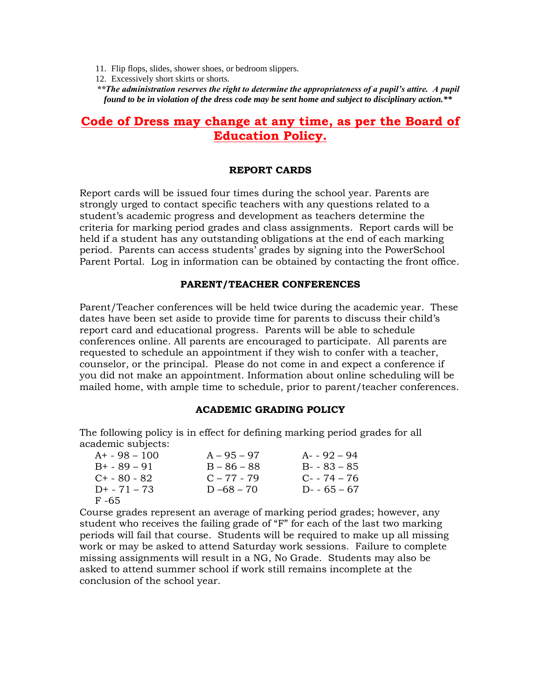- 11. Flip flops, slides, shower shoes, or bedroom slippers.
- 12. Excessively short skirts or shorts.

*\*\*The administration reserves the right to determine the appropriateness of a pupil's attire. A pupil found to be in violation of the dress code may be sent home and subject to disciplinary action.\*\**

# **Code of Dress may change at any time, as per the Board of Education Policy.**

### **REPORT CARDS**

Report cards will be issued four times during the school year. Parents are strongly urged to contact specific teachers with any questions related to a student's academic progress and development as teachers determine the criteria for marking period grades and class assignments. Report cards will be held if a student has any outstanding obligations at the end of each marking period. Parents can access students' grades by signing into the PowerSchool Parent Portal. Log in information can be obtained by contacting the front office.

### **PARENT/TEACHER CONFERENCES**

Parent/Teacher conferences will be held twice during the academic year. These dates have been set aside to provide time for parents to discuss their child's report card and educational progress. Parents will be able to schedule conferences online. All parents are encouraged to participate. All parents are requested to schedule an appointment if they wish to confer with a teacher, counselor, or the principal. Please do not come in and expect a conference if you did not make an appointment. Information about online scheduling will be mailed home, with ample time to schedule, prior to parent/teacher conferences.

### **ACADEMIC GRADING POLICY**

The following policy is in effect for defining marking period grades for all academic subjects:

| $A+ - 98 - 100$   | $A - 95 - 97$ | $A - 92 - 94$ |
|-------------------|---------------|---------------|
| $B_{+}$ - 89 – 91 | $B - 86 - 88$ | $B - 83 - 85$ |
| $C_{2}$ – 80 – 82 | $C - 77 - 79$ | $C - 74 - 76$ |
| $D+ - 71 - 73$    | D $-68 - 70$  | D- $-65 - 67$ |
| F -65             |               |               |

Course grades represent an average of marking period grades; however, any student who receives the failing grade of "F" for each of the last two marking periods will fail that course. Students will be required to make up all missing work or may be asked to attend Saturday work sessions. Failure to complete missing assignments will result in a NG, No Grade. Students may also be asked to attend summer school if work still remains incomplete at the conclusion of the school year.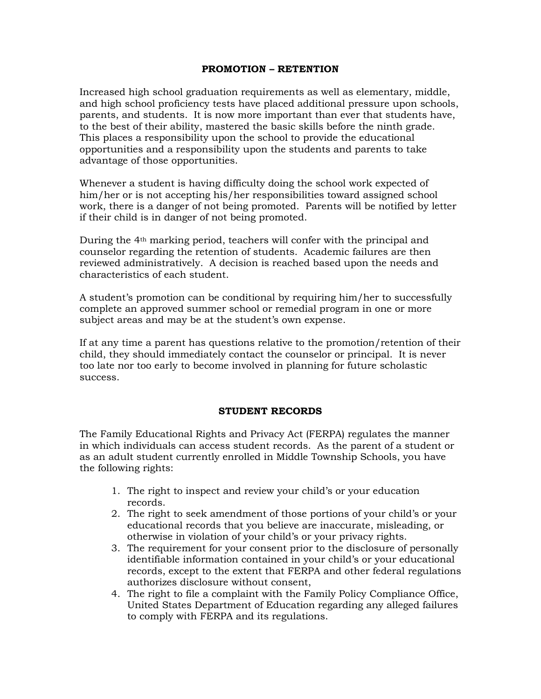## **PROMOTION – RETENTION**

Increased high school graduation requirements as well as elementary, middle, and high school proficiency tests have placed additional pressure upon schools, parents, and students. It is now more important than ever that students have, to the best of their ability, mastered the basic skills before the ninth grade. This places a responsibility upon the school to provide the educational opportunities and a responsibility upon the students and parents to take advantage of those opportunities.

Whenever a student is having difficulty doing the school work expected of him/her or is not accepting his/her responsibilities toward assigned school work, there is a danger of not being promoted. Parents will be notified by letter if their child is in danger of not being promoted.

During the 4th marking period, teachers will confer with the principal and counselor regarding the retention of students. Academic failures are then reviewed administratively. A decision is reached based upon the needs and characteristics of each student.

A student's promotion can be conditional by requiring him/her to successfully complete an approved summer school or remedial program in one or more subject areas and may be at the student's own expense.

If at any time a parent has questions relative to the promotion/retention of their child, they should immediately contact the counselor or principal. It is never too late nor too early to become involved in planning for future scholastic success.

## **STUDENT RECORDS**

The Family Educational Rights and Privacy Act (FERPA) regulates the manner in which individuals can access student records. As the parent of a student or as an adult student currently enrolled in Middle Township Schools, you have the following rights:

- 1. The right to inspect and review your child's or your education records.
- 2. The right to seek amendment of those portions of your child's or your educational records that you believe are inaccurate, misleading, or otherwise in violation of your child's or your privacy rights.
- 3. The requirement for your consent prior to the disclosure of personally identifiable information contained in your child's or your educational records, except to the extent that FERPA and other federal regulations authorizes disclosure without consent,
- 4. The right to file a complaint with the Family Policy Compliance Office, United States Department of Education regarding any alleged failures to comply with FERPA and its regulations.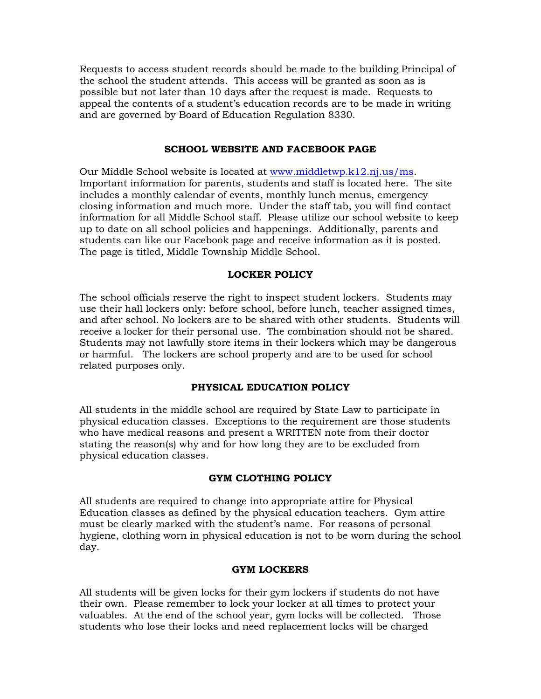Requests to access student records should be made to the building Principal of the school the student attends. This access will be granted as soon as is possible but not later than 10 days after the request is made. Requests to appeal the contents of a student's education records are to be made in writing and are governed by Board of Education Regulation 8330.

### **SCHOOL WEBSITE AND FACEBOOK PAGE**

Our Middle School website is located at [www.middletwp.k12.nj.us/ms.](http://www.middletwp.k12.nj.us/ms) Important information for parents, students and staff is located here. The site includes a monthly calendar of events, monthly lunch menus, emergency closing information and much more. Under the staff tab, you will find contact information for all Middle School staff. Please utilize our school website to keep up to date on all school policies and happenings. Additionally, parents and students can like our Facebook page and receive information as it is posted. The page is titled, Middle Township Middle School.

## **LOCKER POLICY**

The school officials reserve the right to inspect student lockers. Students may use their hall lockers only: before school, before lunch, teacher assigned times, and after school. No lockers are to be shared with other students. Students will receive a locker for their personal use. The combination should not be shared. Students may not lawfully store items in their lockers which may be dangerous or harmful. The lockers are school property and are to be used for school related purposes only.

### **PHYSICAL EDUCATION POLICY**

All students in the middle school are required by State Law to participate in physical education classes. Exceptions to the requirement are those students who have medical reasons and present a WRITTEN note from their doctor stating the reason(s) why and for how long they are to be excluded from physical education classes.

## **GYM CLOTHING POLICY**

All students are required to change into appropriate attire for Physical Education classes as defined by the physical education teachers. Gym attire must be clearly marked with the student's name. For reasons of personal hygiene, clothing worn in physical education is not to be worn during the school day.

### **GYM LOCKERS**

All students will be given locks for their gym lockers if students do not have their own. Please remember to lock your locker at all times to protect your valuables. At the end of the school year, gym locks will be collected. Those students who lose their locks and need replacement locks will be charged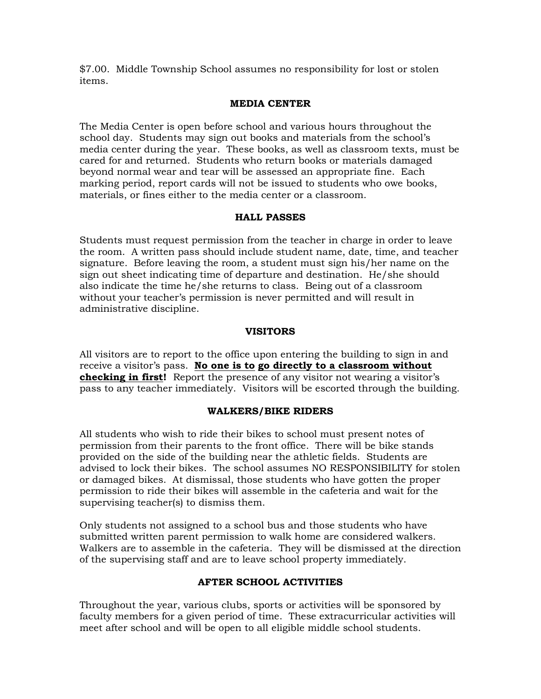\$7.00. Middle Township School assumes no responsibility for lost or stolen items.

## **MEDIA CENTER**

The Media Center is open before school and various hours throughout the school day. Students may sign out books and materials from the school's media center during the year. These books, as well as classroom texts, must be cared for and returned. Students who return books or materials damaged beyond normal wear and tear will be assessed an appropriate fine. Each marking period, report cards will not be issued to students who owe books, materials, or fines either to the media center or a classroom.

## **HALL PASSES**

Students must request permission from the teacher in charge in order to leave the room. A written pass should include student name, date, time, and teacher signature. Before leaving the room, a student must sign his/her name on the sign out sheet indicating time of departure and destination. He/she should also indicate the time he/she returns to class. Being out of a classroom without your teacher's permission is never permitted and will result in administrative discipline.

## **VISITORS**

All visitors are to report to the office upon entering the building to sign in and receive a visitor's pass. **No one is to go directly to a classroom without checking in first!** Report the presence of any visitor not wearing a visitor's pass to any teacher immediately. Visitors will be escorted through the building.

## **WALKERS/BIKE RIDERS**

All students who wish to ride their bikes to school must present notes of permission from their parents to the front office. There will be bike stands provided on the side of the building near the athletic fields. Students are advised to lock their bikes. The school assumes NO RESPONSIBILITY for stolen or damaged bikes. At dismissal, those students who have gotten the proper permission to ride their bikes will assemble in the cafeteria and wait for the supervising teacher(s) to dismiss them.

Only students not assigned to a school bus and those students who have submitted written parent permission to walk home are considered walkers. Walkers are to assemble in the cafeteria. They will be dismissed at the direction of the supervising staff and are to leave school property immediately.

# **AFTER SCHOOL ACTIVITIES**

Throughout the year, various clubs, sports or activities will be sponsored by faculty members for a given period of time. These extracurricular activities will meet after school and will be open to all eligible middle school students.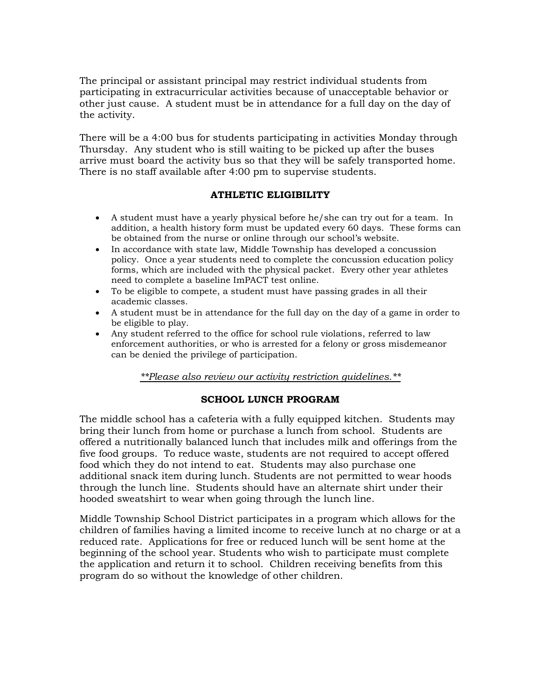The principal or assistant principal may restrict individual students from participating in extracurricular activities because of unacceptable behavior or other just cause. A student must be in attendance for a full day on the day of the activity.

There will be a 4:00 bus for students participating in activities Monday through Thursday. Any student who is still waiting to be picked up after the buses arrive must board the activity bus so that they will be safely transported home. There is no staff available after 4:00 pm to supervise students.

# **ATHLETIC ELIGIBILITY**

- A student must have a yearly physical before he/she can try out for a team. In addition, a health history form must be updated every 60 days. These forms can be obtained from the nurse or online through our school's website.
- In accordance with state law, Middle Township has developed a concussion policy. Once a year students need to complete the concussion education policy forms, which are included with the physical packet. Every other year athletes need to complete a baseline ImPACT test online.
- To be eligible to compete, a student must have passing grades in all their academic classes.
- A student must be in attendance for the full day on the day of a game in order to be eligible to play.
- Any student referred to the office for school rule violations, referred to law enforcement authorities, or who is arrested for a felony or gross misdemeanor can be denied the privilege of participation.

## *\*\*Please also review our activity restriction guidelines.\*\**

## **SCHOOL LUNCH PROGRAM**

The middle school has a cafeteria with a fully equipped kitchen. Students may bring their lunch from home or purchase a lunch from school. Students are offered a nutritionally balanced lunch that includes milk and offerings from the five food groups. To reduce waste, students are not required to accept offered food which they do not intend to eat. Students may also purchase one additional snack item during lunch. Students are not permitted to wear hoods through the lunch line. Students should have an alternate shirt under their hooded sweatshirt to wear when going through the lunch line.

Middle Township School District participates in a program which allows for the children of families having a limited income to receive lunch at no charge or at a reduced rate. Applications for free or reduced lunch will be sent home at the beginning of the school year. Students who wish to participate must complete the application and return it to school. Children receiving benefits from this program do so without the knowledge of other children.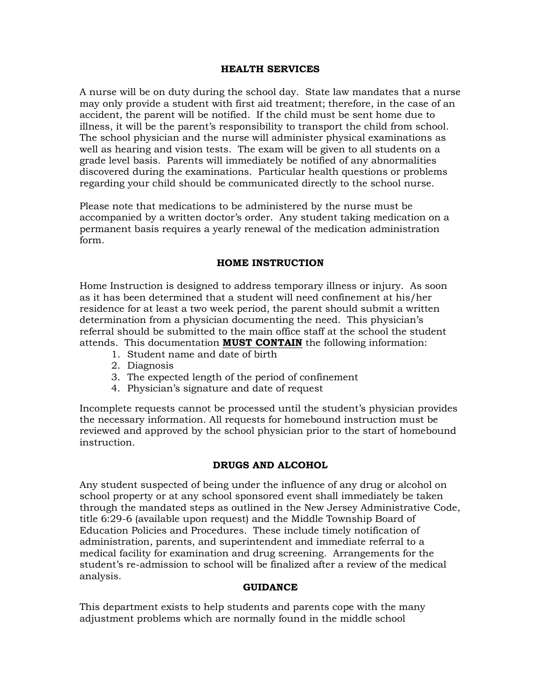### **HEALTH SERVICES**

A nurse will be on duty during the school day. State law mandates that a nurse may only provide a student with first aid treatment; therefore, in the case of an accident, the parent will be notified. If the child must be sent home due to illness, it will be the parent's responsibility to transport the child from school. The school physician and the nurse will administer physical examinations as well as hearing and vision tests. The exam will be given to all students on a grade level basis. Parents will immediately be notified of any abnormalities discovered during the examinations. Particular health questions or problems regarding your child should be communicated directly to the school nurse.

Please note that medications to be administered by the nurse must be accompanied by a written doctor's order. Any student taking medication on a permanent basis requires a yearly renewal of the medication administration form.

## **HOME INSTRUCTION**

Home Instruction is designed to address temporary illness or injury. As soon as it has been determined that a student will need confinement at his/her residence for at least a two week period, the parent should submit a written determination from a physician documenting the need. This physician's referral should be submitted to the main office staff at the school the student attends. This documentation **MUST CONTAIN** the following information:

- 1. Student name and date of birth
- 2. Diagnosis
- 3. The expected length of the period of confinement
- 4. Physician's signature and date of request

Incomplete requests cannot be processed until the student's physician provides the necessary information. All requests for homebound instruction must be reviewed and approved by the school physician prior to the start of homebound instruction.

## **DRUGS AND ALCOHOL**

Any student suspected of being under the influence of any drug or alcohol on school property or at any school sponsored event shall immediately be taken through the mandated steps as outlined in the New Jersey Administrative Code, title 6:29-6 (available upon request) and the Middle Township Board of Education Policies and Procedures. These include timely notification of administration, parents, and superintendent and immediate referral to a medical facility for examination and drug screening. Arrangements for the student's re-admission to school will be finalized after a review of the medical analysis.

## **GUIDANCE**

This department exists to help students and parents cope with the many adjustment problems which are normally found in the middle school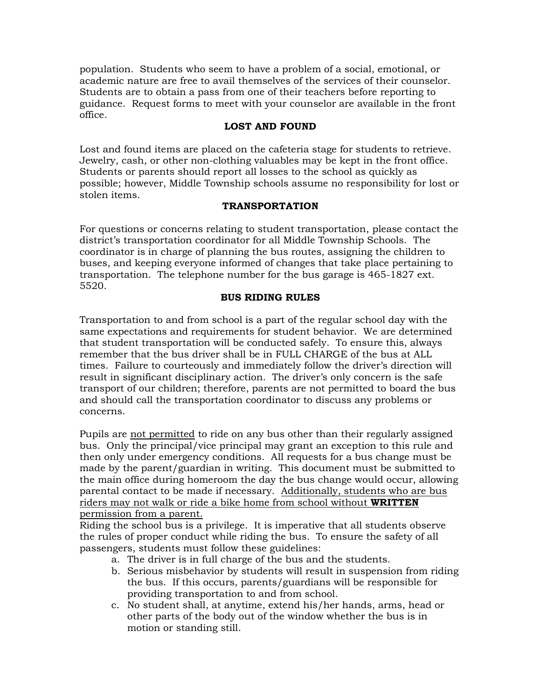population. Students who seem to have a problem of a social, emotional, or academic nature are free to avail themselves of the services of their counselor. Students are to obtain a pass from one of their teachers before reporting to guidance. Request forms to meet with your counselor are available in the front office.

# **LOST AND FOUND**

Lost and found items are placed on the cafeteria stage for students to retrieve. Jewelry, cash, or other non-clothing valuables may be kept in the front office. Students or parents should report all losses to the school as quickly as possible; however, Middle Township schools assume no responsibility for lost or stolen items.

# **TRANSPORTATION**

For questions or concerns relating to student transportation, please contact the district's transportation coordinator for all Middle Township Schools. The coordinator is in charge of planning the bus routes, assigning the children to buses, and keeping everyone informed of changes that take place pertaining to transportation. The telephone number for the bus garage is 465-1827 ext. 5520.

# **BUS RIDING RULES**

Transportation to and from school is a part of the regular school day with the same expectations and requirements for student behavior. We are determined that student transportation will be conducted safely. To ensure this, always remember that the bus driver shall be in FULL CHARGE of the bus at ALL times. Failure to courteously and immediately follow the driver's direction will result in significant disciplinary action. The driver's only concern is the safe transport of our children; therefore, parents are not permitted to board the bus and should call the transportation coordinator to discuss any problems or concerns.

Pupils are not permitted to ride on any bus other than their regularly assigned bus. Only the principal/vice principal may grant an exception to this rule and then only under emergency conditions. All requests for a bus change must be made by the parent/guardian in writing. This document must be submitted to the main office during homeroom the day the bus change would occur, allowing parental contact to be made if necessary. Additionally, students who are bus riders may not walk or ride a bike home from school without **WRITTEN** permission from a parent.

Riding the school bus is a privilege. It is imperative that all students observe the rules of proper conduct while riding the bus. To ensure the safety of all passengers, students must follow these guidelines:

- a. The driver is in full charge of the bus and the students.
- b. Serious misbehavior by students will result in suspension from riding the bus. If this occurs, parents/guardians will be responsible for providing transportation to and from school.
- c. No student shall, at anytime, extend his/her hands, arms, head or other parts of the body out of the window whether the bus is in motion or standing still.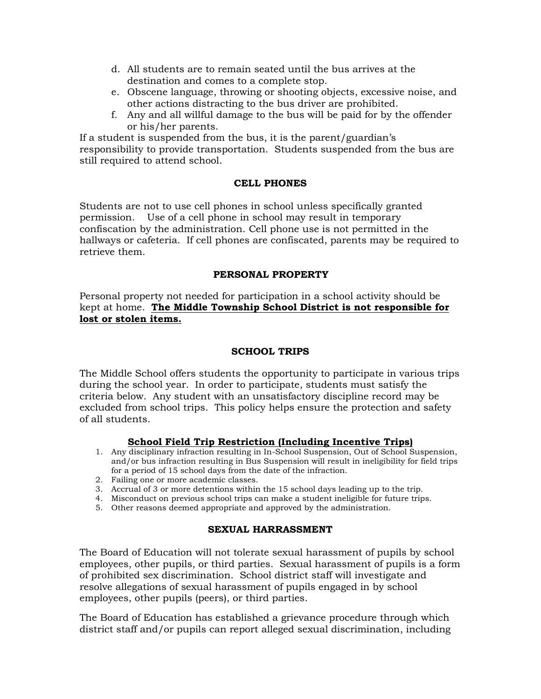- d. All students are to remain seated until the bus arrives at the destination and comes to a complete stop.
- e. Obscene language, throwing or shooting objects, excessive noise, and other actions distracting to the bus driver are prohibited.
- f. Any and all willful damage to the bus will be paid for by the offender or his/her parents.

If a student is suspended from the bus, it is the parent/guardian's responsibility to provide transportation. Students suspended from the bus are still required to attend school.

## **CELL PHONES**

Students are not to use cell phones in school unless specifically granted permission. Use of a cell phone in school may result in temporary confiscation by the administration. Cell phone use is not permitted in the hallways or cafeteria. If cell phones are confiscated, parents may be required to retrieve them.

## **PERSONAL PROPERTY**

Personal property not needed for participation in a school activity should be kept at home. **The Middle Township School District is not responsible for lost or stolen items.** 

# **SCHOOL TRIPS**

The Middle School offers students the opportunity to participate in various trips during the school year. In order to participate, students must satisfy the criteria below. Any student with an unsatisfactory discipline record may be excluded from school trips. This policy helps ensure the protection and safety of all students.

## **School Field Trip Restriction (Including Incentive Trips)**

- 1. Any disciplinary infraction resulting in In-School Suspension, Out of School Suspension, and/or bus infraction resulting in Bus Suspension will result in ineligibility for field trips for a period of 15 school days from the date of the infraction.
- 2. Failing one or more academic classes.
- 3. Accrual of 3 or more detentions within the 15 school days leading up to the trip.
- 4. Misconduct on previous school trips can make a student ineligible for future trips.
- 5. Other reasons deemed appropriate and approved by the administration.

## **SEXUAL HARRASSMENT**

The Board of Education will not tolerate sexual harassment of pupils by school employees, other pupils, or third parties. Sexual harassment of pupils is a form of prohibited sex discrimination. School district staff will investigate and resolve allegations of sexual harassment of pupils engaged in by school employees, other pupils (peers), or third parties.

The Board of Education has established a grievance procedure through which district staff and/or pupils can report alleged sexual discrimination, including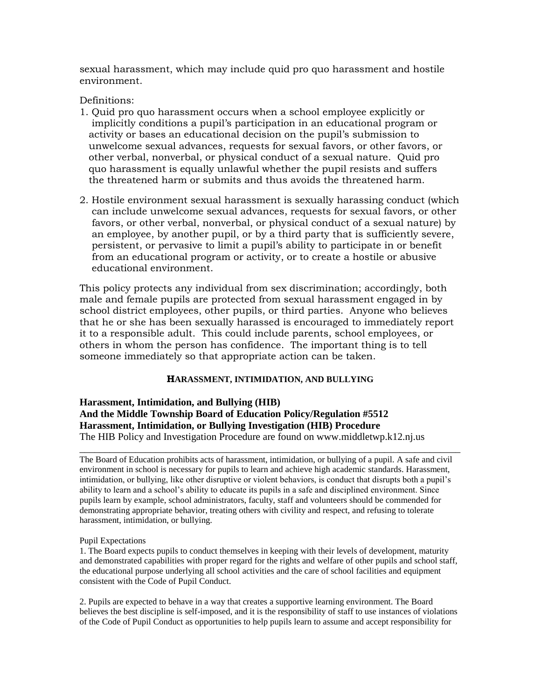sexual harassment, which may include quid pro quo harassment and hostile environment.

Definitions:

- 1. Quid pro quo harassment occurs when a school employee explicitly or implicitly conditions a pupil's participation in an educational program or activity or bases an educational decision on the pupil's submission to unwelcome sexual advances, requests for sexual favors, or other favors, or other verbal, nonverbal, or physical conduct of a sexual nature. Quid pro quo harassment is equally unlawful whether the pupil resists and suffers the threatened harm or submits and thus avoids the threatened harm.
- 2. Hostile environment sexual harassment is sexually harassing conduct (which can include unwelcome sexual advances, requests for sexual favors, or other favors, or other verbal, nonverbal, or physical conduct of a sexual nature) by an employee, by another pupil, or by a third party that is sufficiently severe, persistent, or pervasive to limit a pupil's ability to participate in or benefit from an educational program or activity, or to create a hostile or abusive educational environment.

This policy protects any individual from sex discrimination; accordingly, both male and female pupils are protected from sexual harassment engaged in by school district employees, other pupils, or third parties. Anyone who believes that he or she has been sexually harassed is encouraged to immediately report it to a responsible adult. This could include parents, school employees, or others in whom the person has confidence. The important thing is to tell someone immediately so that appropriate action can be taken.

# **HARASSMENT, INTIMIDATION, AND BULLYING**

**Harassment, Intimidation, and Bullying (HIB) And the Middle Township Board of Education Policy/Regulation #5512 Harassment, Intimidation, or Bullying Investigation (HIB) Procedure**  The HIB Policy and Investigation Procedure are found on www.middletwp.k12.nj.us

The Board of Education prohibits acts of harassment, intimidation, or bullying of a pupil. A safe and civil environment in school is necessary for pupils to learn and achieve high academic standards. Harassment, intimidation, or bullying, like other disruptive or violent behaviors, is conduct that disrupts both a pupil's ability to learn and a school's ability to educate its pupils in a safe and disciplined environment. Since pupils learn by example, school administrators, faculty, staff and volunteers should be commended for demonstrating appropriate behavior, treating others with civility and respect, and refusing to tolerate harassment, intimidation, or bullying.

*\_\_\_\_\_\_\_\_\_\_\_\_\_\_\_\_\_\_\_\_\_\_\_\_\_\_\_\_\_\_\_\_\_\_\_\_\_\_\_\_\_\_\_\_\_\_\_\_\_\_\_\_\_\_\_\_\_\_\_\_\_\_\_\_\_\_\_\_\_\_\_\_\_\_\_* 

### Pupil Expectations

1. The Board expects pupils to conduct themselves in keeping with their levels of development, maturity and demonstrated capabilities with proper regard for the rights and welfare of other pupils and school staff, the educational purpose underlying all school activities and the care of school facilities and equipment consistent with the Code of Pupil Conduct.

2. Pupils are expected to behave in a way that creates a supportive learning environment. The Board believes the best discipline is self-imposed, and it is the responsibility of staff to use instances of violations of the Code of Pupil Conduct as opportunities to help pupils learn to assume and accept responsibility for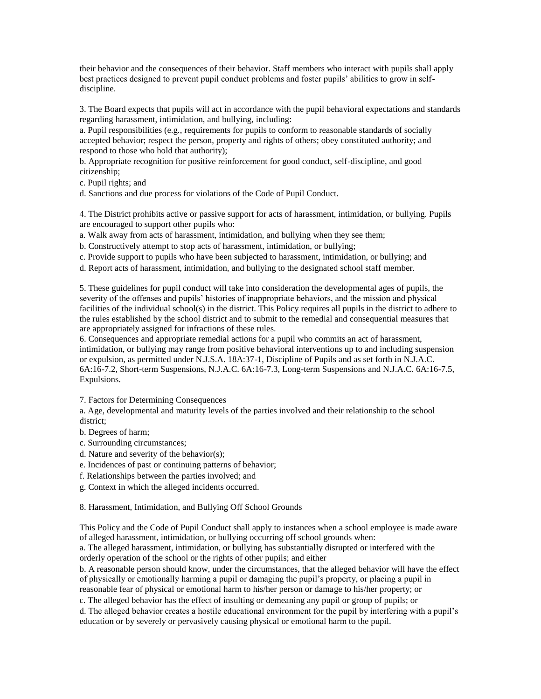their behavior and the consequences of their behavior. Staff members who interact with pupils shall apply best practices designed to prevent pupil conduct problems and foster pupils' abilities to grow in selfdiscipline.

3. The Board expects that pupils will act in accordance with the pupil behavioral expectations and standards regarding harassment, intimidation, and bullying, including:

a. Pupil responsibilities (e.g., requirements for pupils to conform to reasonable standards of socially accepted behavior; respect the person, property and rights of others; obey constituted authority; and respond to those who hold that authority);

b. Appropriate recognition for positive reinforcement for good conduct, self-discipline, and good citizenship;

c. Pupil rights; and

d. Sanctions and due process for violations of the Code of Pupil Conduct.

4. The District prohibits active or passive support for acts of harassment, intimidation, or bullying. Pupils are encouraged to support other pupils who:

a. Walk away from acts of harassment, intimidation, and bullying when they see them;

b. Constructively attempt to stop acts of harassment, intimidation, or bullying;

c. Provide support to pupils who have been subjected to harassment, intimidation, or bullying; and

d. Report acts of harassment, intimidation, and bullying to the designated school staff member.

5. These guidelines for pupil conduct will take into consideration the developmental ages of pupils, the severity of the offenses and pupils' histories of inappropriate behaviors, and the mission and physical facilities of the individual school(s) in the district. This Policy requires all pupils in the district to adhere to the rules established by the school district and to submit to the remedial and consequential measures that are appropriately assigned for infractions of these rules.

6. Consequences and appropriate remedial actions for a pupil who commits an act of harassment, intimidation, or bullying may range from positive behavioral interventions up to and including suspension or expulsion, as permitted under N.J.S.A. 18A:37-1, Discipline of Pupils and as set forth in N.J.A.C. 6A:16-7.2, Short-term Suspensions, N.J.A.C. 6A:16-7.3, Long-term Suspensions and N.J.A.C. 6A:16-7.5, Expulsions.

7. Factors for Determining Consequences

a. Age, developmental and maturity levels of the parties involved and their relationship to the school district;

b. Degrees of harm;

c. Surrounding circumstances;

d. Nature and severity of the behavior(s);

e. Incidences of past or continuing patterns of behavior;

f. Relationships between the parties involved; and

g. Context in which the alleged incidents occurred.

8. Harassment, Intimidation, and Bullying Off School Grounds

This Policy and the Code of Pupil Conduct shall apply to instances when a school employee is made aware of alleged harassment, intimidation, or bullying occurring off school grounds when:

a. The alleged harassment, intimidation, or bullying has substantially disrupted or interfered with the orderly operation of the school or the rights of other pupils; and either

b. A reasonable person should know, under the circumstances, that the alleged behavior will have the effect of physically or emotionally harming a pupil or damaging the pupil's property, or placing a pupil in reasonable fear of physical or emotional harm to his/her person or damage to his/her property; or

c. The alleged behavior has the effect of insulting or demeaning any pupil or group of pupils; or

d. The alleged behavior creates a hostile educational environment for the pupil by interfering with a pupil's education or by severely or pervasively causing physical or emotional harm to the pupil.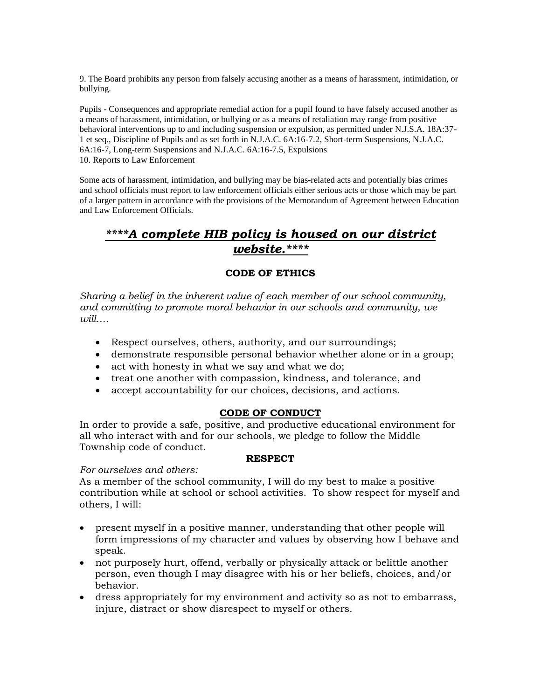9. The Board prohibits any person from falsely accusing another as a means of harassment, intimidation, or bullying.

Pupils - Consequences and appropriate remedial action for a pupil found to have falsely accused another as a means of harassment, intimidation, or bullying or as a means of retaliation may range from positive behavioral interventions up to and including suspension or expulsion, as permitted under N.J.S.A. 18A:37- 1 et seq., Discipline of Pupils and as set forth in N.J.A.C. 6A:16-7.2, Short-term Suspensions, N.J.A.C. 6A:16-7, Long-term Suspensions and N.J.A.C. 6A:16-7.5, Expulsions 10. Reports to Law Enforcement

Some acts of harassment, intimidation, and bullying may be bias-related acts and potentially bias crimes and school officials must report to law enforcement officials either serious acts or those which may be part of a larger pattern in accordance with the provisions of the Memorandum of Agreement between Education and Law Enforcement Officials.

# *\*\*\*\*A complete HIB policy is housed on our district website.\*\*\*\**

# **CODE OF ETHICS**

*Sharing a belief in the inherent value of each member of our school community, and committing to promote moral behavior in our schools and community, we will….*

- Respect ourselves, others, authority, and our surroundings;
- demonstrate responsible personal behavior whether alone or in a group;
- act with honesty in what we say and what we do;
- treat one another with compassion, kindness, and tolerance, and
- accept accountability for our choices, decisions, and actions.

## **CODE OF CONDUCT**

In order to provide a safe, positive, and productive educational environment for all who interact with and for our schools, we pledge to follow the Middle Township code of conduct.

## **RESPECT**

## *For ourselves and others:*

As a member of the school community, I will do my best to make a positive contribution while at school or school activities. To show respect for myself and others, I will:

- present myself in a positive manner, understanding that other people will form impressions of my character and values by observing how I behave and speak.
- not purposely hurt, offend, verbally or physically attack or belittle another person, even though I may disagree with his or her beliefs, choices, and/or behavior.
- dress appropriately for my environment and activity so as not to embarrass, injure, distract or show disrespect to myself or others.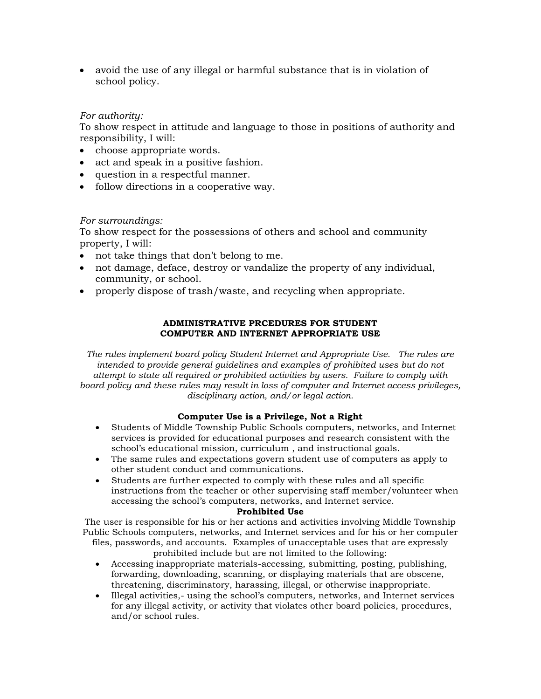• avoid the use of any illegal or harmful substance that is in violation of school policy.

## *For authority:*

To show respect in attitude and language to those in positions of authority and responsibility, I will:

- choose appropriate words.
- act and speak in a positive fashion.
- question in a respectful manner.
- follow directions in a cooperative way.

## *For surroundings:*

To show respect for the possessions of others and school and community property, I will:

- not take things that don't belong to me.
- not damage, deface, destroy or vandalize the property of any individual, community, or school.
- properly dispose of trash/waste, and recycling when appropriate.

### **ADMINISTRATIVE PRCEDURES FOR STUDENT COMPUTER AND INTERNET APPROPRIATE USE**

*The rules implement board policy Student Internet and Appropriate Use. The rules are intended to provide general guidelines and examples of prohibited uses but do not attempt to state all required or prohibited activities by users. Failure to comply with board policy and these rules may result in loss of computer and Internet access privileges, disciplinary action, and/or legal action.*

## **Computer Use is a Privilege, Not a Right**

- Students of Middle Township Public Schools computers, networks, and Internet services is provided for educational purposes and research consistent with the school's educational mission, curriculum , and instructional goals.
- The same rules and expectations govern student use of computers as apply to other student conduct and communications.
- Students are further expected to comply with these rules and all specific instructions from the teacher or other supervising staff member/volunteer when accessing the school's computers, networks, and Internet service.

### **Prohibited Use**

The user is responsible for his or her actions and activities involving Middle Township Public Schools computers, networks, and Internet services and for his or her computer files, passwords, and accounts. Examples of unacceptable uses that are expressly

prohibited include but are not limited to the following:

- Accessing inappropriate materials-accessing, submitting, posting, publishing, forwarding, downloading, scanning, or displaying materials that are obscene, threatening, discriminatory, harassing, illegal, or otherwise inappropriate.
- Illegal activities,- using the school's computers, networks, and Internet services for any illegal activity, or activity that violates other board policies, procedures, and/or school rules.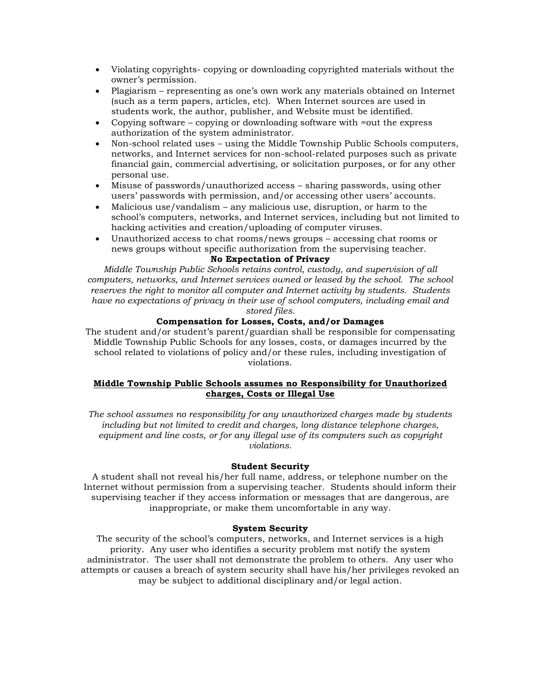- Violating copyrights- copying or downloading copyrighted materials without the owner's permission.
- Plagiarism representing as one's own work any materials obtained on Internet (such as a term papers, articles, etc). When Internet sources are used in students work, the author, publisher, and Website must be identified.
- Copying software copying or downloading software with =out the express authorization of the system administrator.
- Non-school related uses using the Middle Township Public Schools computers, networks, and Internet services for non-school-related purposes such as private financial gain, commercial advertising, or solicitation purposes, or for any other personal use.
- Misuse of passwords/unauthorized access sharing passwords, using other users' passwords with permission, and/or accessing other users' accounts.
- Malicious use/vandalism any malicious use, disruption, or harm to the school's computers, networks, and Internet services, including but not limited to hacking activities and creation/uploading of computer viruses.
- Unauthorized access to chat rooms/news groups accessing chat rooms or news groups without specific authorization from the supervising teacher.

### **No Expectation of Privacy**

*Middle Township Public Schools retains control, custody, and supervision of all computers, networks, and Internet services owned or leased by the school. The school reserves the right to monitor all computer and Internet activity by students. Students have no expectations of privacy in their use of school computers, including email and stored files.*

### **Compensation for Losses, Costs, and/or Damages**

The student and/or student's parent/guardian shall be responsible for compensating Middle Township Public Schools for any losses, costs, or damages incurred by the school related to violations of policy and/or these rules, including investigation of violations.

### **Middle Township Public Schools assumes no Responsibility for Unauthorized charges, Costs or Illegal Use**

*The school assumes no responsibility for any unauthorized charges made by students including but not limited to credit and charges, long distance telephone charges, equipment and line costs, or for any illegal use of its computers such as copyright violations.*

### **Student Security**

A student shall not reveal his/her full name, address, or telephone number on the Internet without permission from a supervising teacher. Students should inform their supervising teacher if they access information or messages that are dangerous, are inappropriate, or make them uncomfortable in any way.

### **System Security**

The security of the school's computers, networks, and Internet services is a high priority. Any user who identifies a security problem mst notify the system administrator. The user shall not demonstrate the problem to others. Any user who attempts or causes a breach of system security shall have his/her privileges revoked an may be subject to additional disciplinary and/or legal action.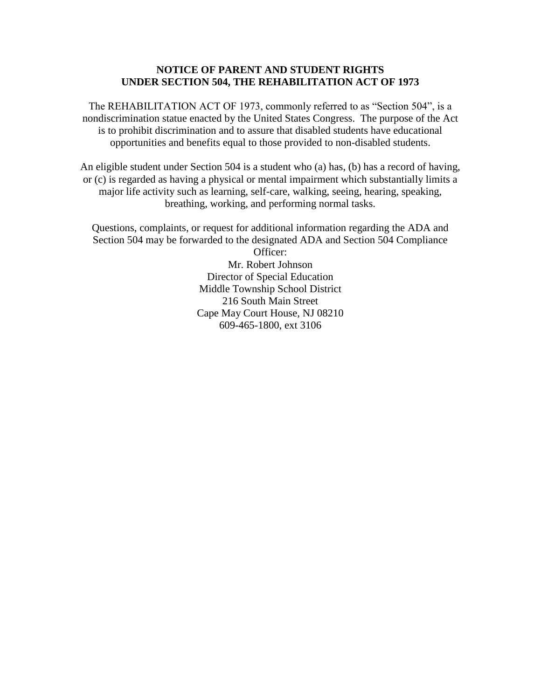## **NOTICE OF PARENT AND STUDENT RIGHTS UNDER SECTION 504, THE REHABILITATION ACT OF 1973**

The REHABILITATION ACT OF 1973, commonly referred to as "Section 504", is a nondiscrimination statue enacted by the United States Congress. The purpose of the Act is to prohibit discrimination and to assure that disabled students have educational opportunities and benefits equal to those provided to non-disabled students.

An eligible student under Section 504 is a student who (a) has, (b) has a record of having, or (c) is regarded as having a physical or mental impairment which substantially limits a major life activity such as learning, self-care, walking, seeing, hearing, speaking, breathing, working, and performing normal tasks.

Questions, complaints, or request for additional information regarding the ADA and Section 504 may be forwarded to the designated ADA and Section 504 Compliance

Officer: Mr. Robert Johnson Director of Special Education Middle Township School District 216 South Main Street Cape May Court House, NJ 08210 609-465-1800, ext 3106